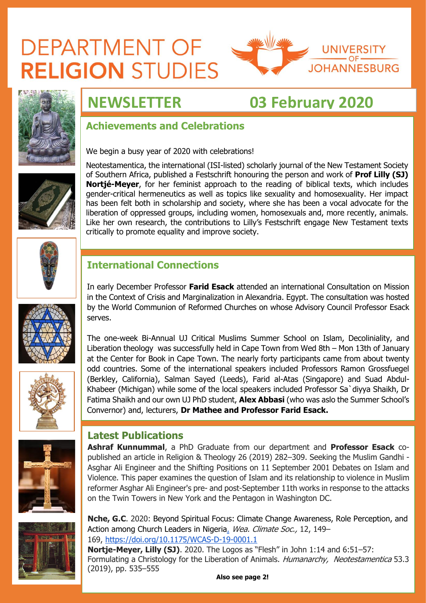# **DEPARTMENT OF RELIGION STUDIES**





## **NEWSLETTER 03 February 2020**

## **Achievements and Celebrations**

We begin a busy year of 2020 with celebrations!



Neotestamentica, the international (ISI-listed) scholarly journal of the New Testament Society of Southern Africa, published a Festschrift honouring the person and work of **Prof Lilly (SJ) Nortjé-Meyer**, for her feminist approach to the reading of biblical texts, which includes gender-critical hermeneutics as well as topics like sexuality and homosexuality. Her impact has been felt both in scholarship and society, where she has been a vocal advocate for the liberation of oppressed groups, including women, homosexuals and, more recently, animals. Like her own research, the contributions to Lilly's Festschrift engage New Testament texts critically to promote equality and improve society.



## **International Connections**

In early December Professor **Farid Esack** attended an international Consultation on Mission in the Context of Crisis and Marginalization in Alexandria. Egypt. The consultation was hosted by the World Communion of Reformed Churches on whose Advisory Council Professor Esack serves.

The one-week Bi-Annual UJ Critical Muslims Summer School on Islam, Decoliniality, and Liberation theology was successfully held in Cape Town from Wed 8th – Mon 13th of January at the Center for Book in Cape Town. The nearly forty participants came from about twenty odd countries. Some of the international speakers included Professors Ramon Grossfuegel (Berkley, California), Salman Sayed (Leeds), Farid al-Atas (Singapore) and Suad Abdul-Khabeer (Michigan) while some of the local speakers included Professor Sa`diyya Shaikh, Dr Fatima Shaikh and our own UJ PhD student, **Alex Abbasi** (who was aslo the Summer School's Convernor) and, lecturers, **Dr Mathee and Professor Farid Esack.**



### **Latest Publications**

**Ashraf Kunnummal**, a PhD Graduate from our department and **Professor Esack** copublished an article in Religion & Theology 26 (2019) 282–309. Seeking the Muslim Gandhi - Asghar Ali Engineer and the Shifting Positions on 11 September 2001 Debates on Islam and Violence. This paper examines the question of Islam and its relationship to violence in Muslim reformer Asghar Ali Engineer's pre- and post-September 11th works in response to the attacks on the Twin Towers in New York and the Pentagon in Washington DC.

**Nche, G.C**. 2020: [Beyond Spiritual Focus: Climate Change Awareness, Role Perception, and](https://journals.ametsoc.org/doi/abs/10.1175/WCAS-D-19-0001.1)  [Action among Church Leaders in Nigeria.](https://journals.ametsoc.org/doi/abs/10.1175/WCAS-D-19-0001.1) Wea. Climate Soc., 12, 149-169, <https://doi.org/10.1175/WCAS-D-19-0001.1>

**Nortje-Meyer, Lilly (SJ)**. 2020. The Logos as "Flesh" in John 1:14 and 6:51–57: Formulating a Christology for the Liberation of Animals. Humanarchy, Neotestamentica 53.3 (2019), pp. 535–555